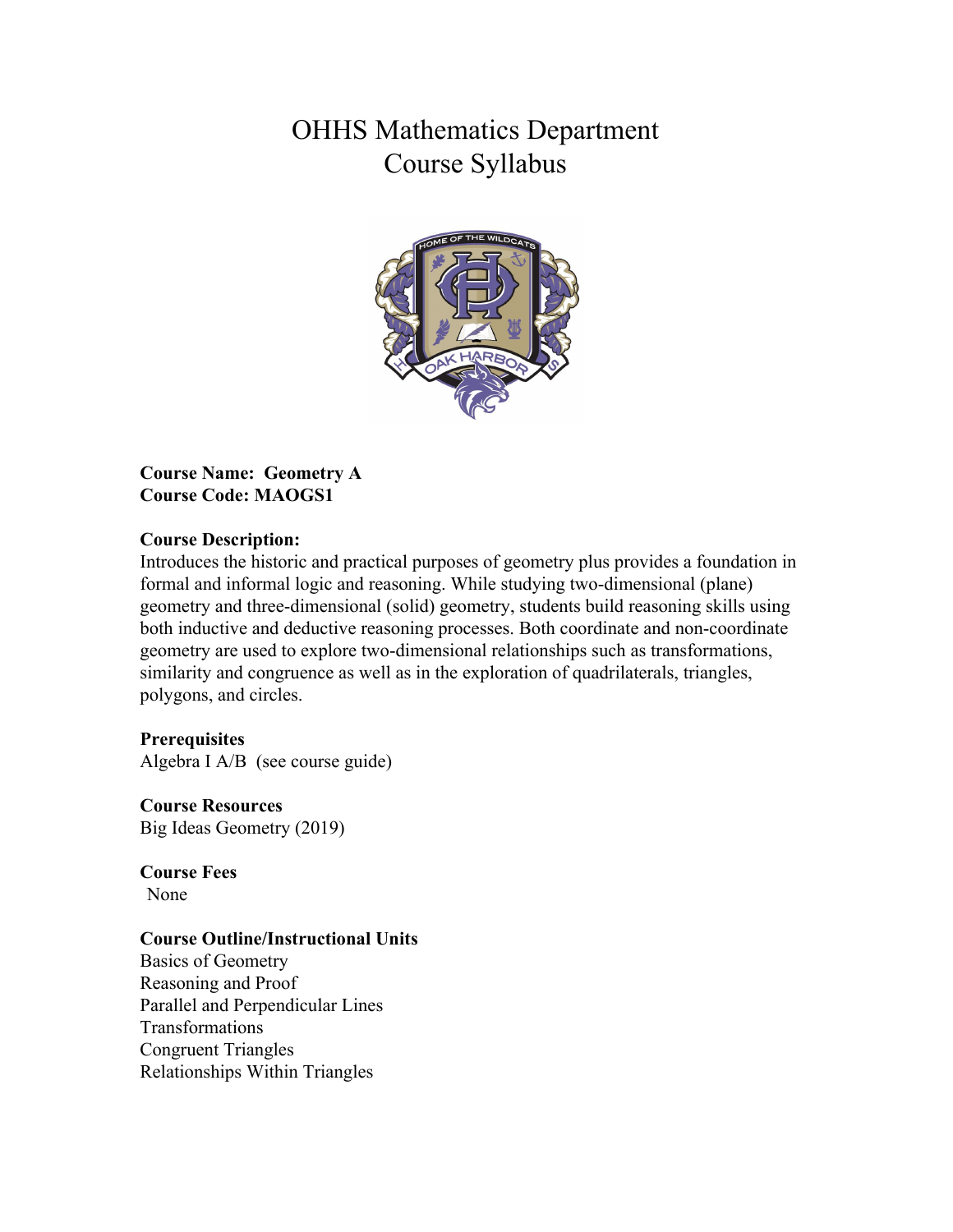# OHHS Mathematics Department Course Syllabus



**Course Name: Geometry A Course Code: MAOGS1**

#### **Course Description:**

Introduces the historic and practical purposes of geometry plus provides a foundation in formal and informal logic and reasoning. While studying two-dimensional (plane) geometry and three-dimensional (solid) geometry, students build reasoning skills using both inductive and deductive reasoning processes. Both coordinate and non-coordinate geometry are used to explore two-dimensional relationships such as transformations, similarity and congruence as well as in the exploration of quadrilaterals, triangles, polygons, and circles.

### **Prerequisites**

Algebra I A/B (see course guide)

**Course Resources** Big Ideas Geometry (2019)

**Course Fees** None

### **Course Outline/Instructional Units**

Basics of Geometry Reasoning and Proof Parallel and Perpendicular Lines Transformations Congruent Triangles Relationships Within Triangles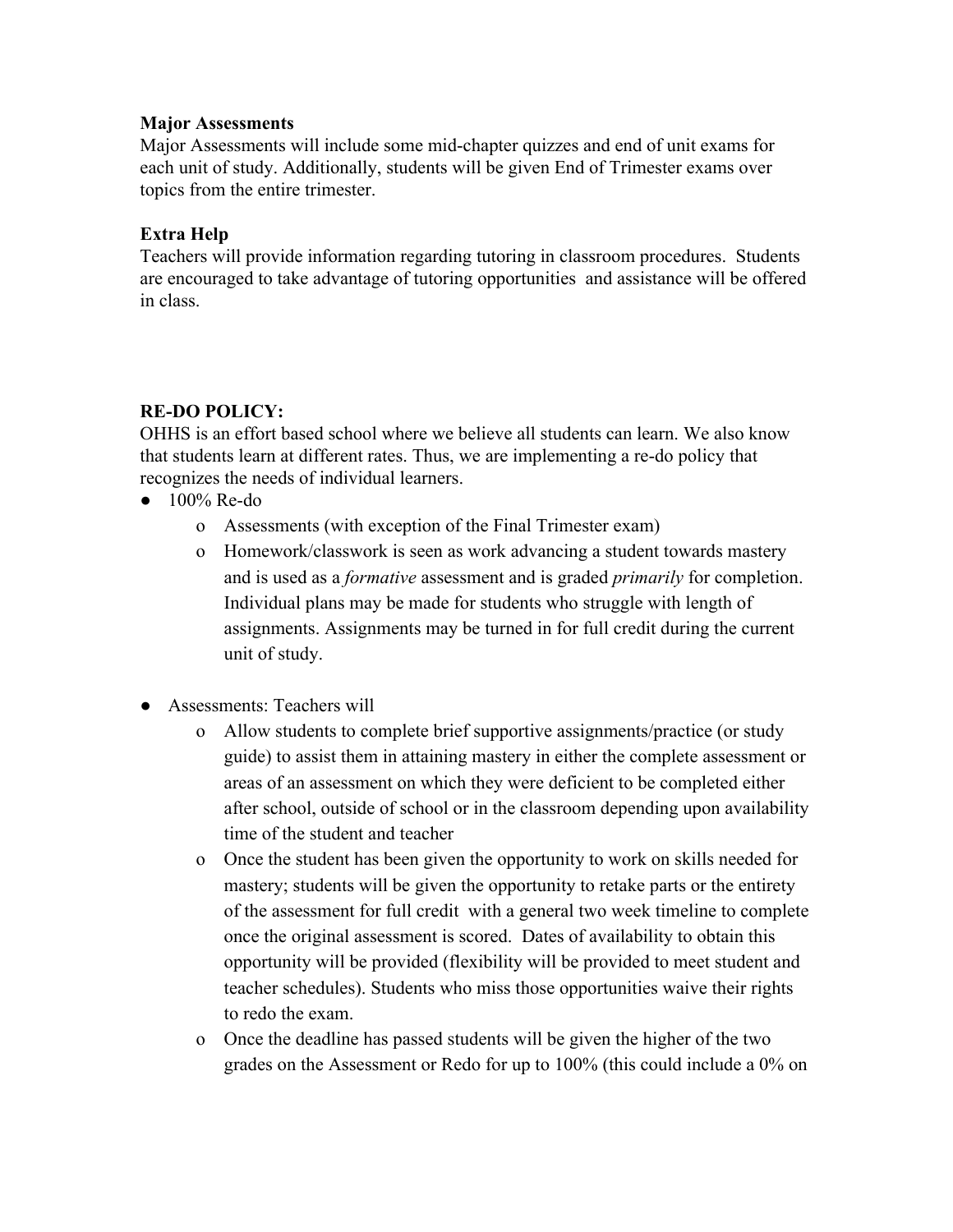#### **Major Assessments**

Major Assessments will include some mid-chapter quizzes and end of unit exams for each unit of study. Additionally, students will be given End of Trimester exams over topics from the entire trimester.

## **Extra Help**

Teachers will provide information regarding tutoring in classroom procedures. Students are encouraged to take advantage of tutoring opportunities and assistance will be offered in class.

# **RE-DO POLICY:**

OHHS is an effort based school where we believe all students can learn. We also know that students learn at different rates. Thus, we are implementing a re-do policy that recognizes the needs of individual learners.

- $\bullet$  100% Re-do
	- o Assessments (with exception of the Final Trimester exam)
	- o Homework/classwork is seen as work advancing a student towards mastery and is used as a *formative* assessment and is graded *primarily* for completion. Individual plans may be made for students who struggle with length of assignments. Assignments may be turned in for full credit during the current unit of study.
- Assessments: Teachers will
	- o Allow students to complete brief supportive assignments/practice (or study guide) to assist them in attaining mastery in either the complete assessment or areas of an assessment on which they were deficient to be completed either after school, outside of school or in the classroom depending upon availability time of the student and teacher
	- o Once the student has been given the opportunity to work on skills needed for mastery; students will be given the opportunity to retake parts or the entirety of the assessment for full credit with a general two week timeline to complete once the original assessment is scored. Dates of availability to obtain this opportunity will be provided (flexibility will be provided to meet student and teacher schedules). Students who miss those opportunities waive their rights to redo the exam.
	- o Once the deadline has passed students will be given the higher of the two grades on the Assessment or Redo for up to 100% (this could include a 0% on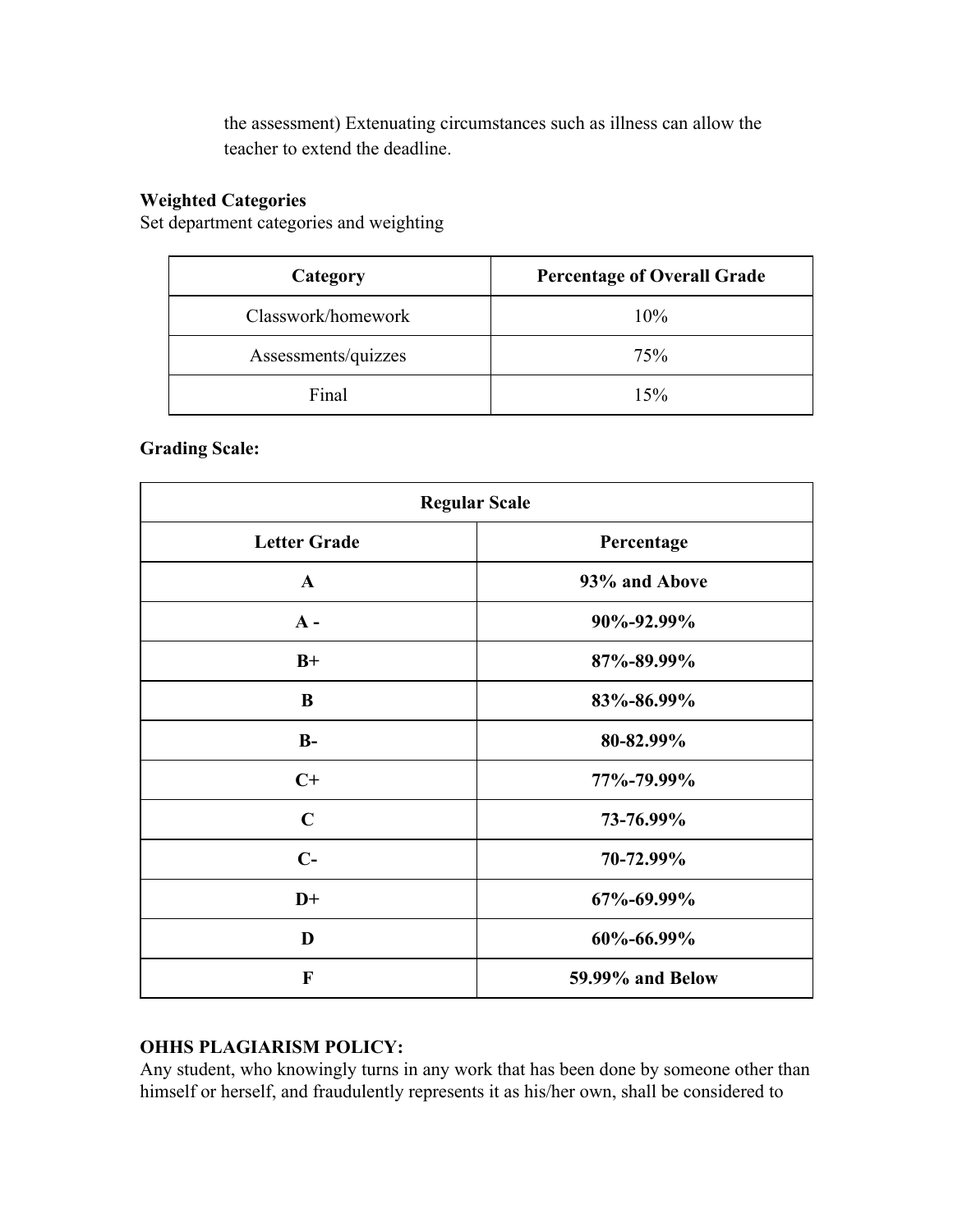the assessment) Extenuating circumstances such as illness can allow the teacher to extend the deadline.

# **Weighted Categories**

Set department categories and weighting

| Category            | <b>Percentage of Overall Grade</b> |
|---------------------|------------------------------------|
| Classwork/homework  | 10%                                |
| Assessments/quizzes | 75%                                |
| Final               | 15%                                |

# **Grading Scale:**

| <b>Regular Scale</b> |                  |
|----------------------|------------------|
| <b>Letter Grade</b>  | Percentage       |
| $\mathbf{A}$         | 93% and Above    |
| $A -$                | 90%-92.99%       |
| $B+$                 | 87%-89.99%       |
| B                    | 83%-86.99%       |
| $B-$                 | 80-82.99%        |
| $C+$                 | 77%-79.99%       |
| $\mathbf C$          | 73-76.99%        |
| $C-$                 | 70-72.99%        |
| $D+$                 | 67%-69.99%       |
| D                    | 60%-66.99%       |
| $\mathbf{F}$         | 59.99% and Below |

# **OHHS PLAGIARISM POLICY:**

Any student, who knowingly turns in any work that has been done by someone other than himself or herself, and fraudulently represents it as his/her own, shall be considered to